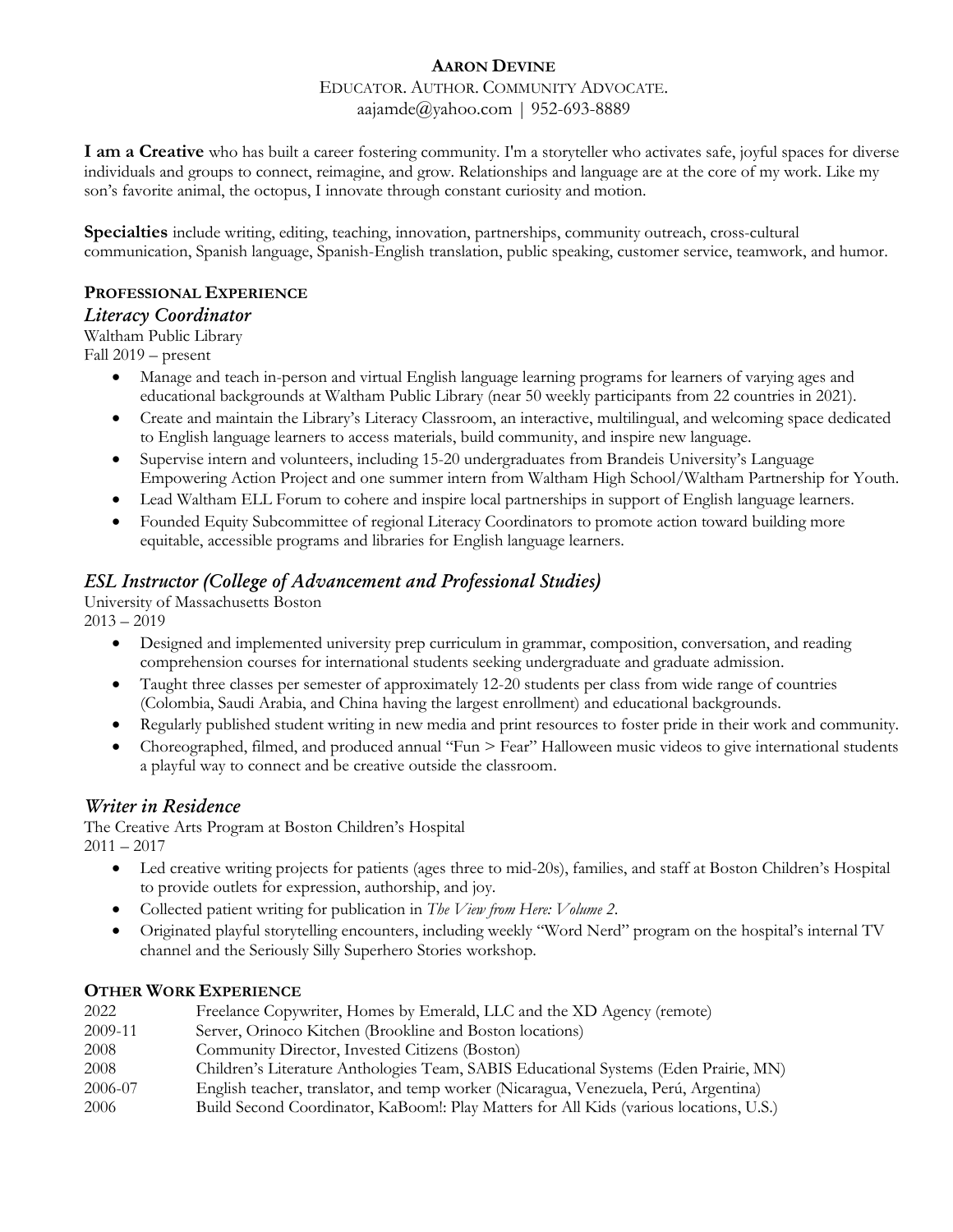#### EDUCATOR. AUTHOR. COMMUNITY ADVOCATE. aajamde@yahoo.com | 952-693-8889

**I am a Creative** who has built a career fostering community. I'm a storyteller who activates safe, joyful spaces for diverse individuals and groups to connect, reimagine, and grow. Relationships and language are at the core of my work. Like my son's favorite animal, the octopus, I innovate through constant curiosity and motion.

**Specialties** include writing, editing, teaching, innovation, partnerships, community outreach, cross-cultural communication, Spanish language, Spanish-English translation, public speaking, customer service, teamwork, and humor.

## **PROFESSIONAL EXPERIENCE**

### *Literacy Coordinator*

Waltham Public Library

Fall 2019 – present

- Manage and teach in-person and virtual English language learning programs for learners of varying ages and educational backgrounds at Waltham Public Library (near 50 weekly participants from 22 countries in 2021).
- Create and maintain the Library's Literacy Classroom, an interactive, multilingual, and welcoming space dedicated to English language learners to access materials, build community, and inspire new language.
- Supervise intern and volunteers, including 15-20 undergraduates from Brandeis University's Language Empowering Action Project and one summer intern from Waltham High School/Waltham Partnership for Youth.
- Lead Waltham ELL Forum to cohere and inspire local partnerships in support of English language learners.
- Founded Equity Subcommittee of regional Literacy Coordinators to promote action toward building more equitable, accessible programs and libraries for English language learners.

# *ESL Instructor (College of Advancement and Professional Studies)*

University of Massachusetts Boston  $2013 - 2019$ 

- Designed and implemented university prep curriculum in grammar, composition, conversation, and reading comprehension courses for international students seeking undergraduate and graduate admission.
- Taught three classes per semester of approximately 12-20 students per class from wide range of countries (Colombia, Saudi Arabia, and China having the largest enrollment) and educational backgrounds.
- Regularly published student writing in new media and print resources to foster pride in their work and community.
- Choreographed, filmed, and produced annual "Fun > Fear" Halloween music videos to give international students a playful way to connect and be creative outside the classroom.

# *Writer in Residence*

The Creative Arts Program at Boston Children's Hospital  $2011 - 2017$ 

- Led creative writing projects for patients (ages three to mid-20s), families, and staff at Boston Children's Hospital to provide outlets for expression, authorship, and joy.
- Collected patient writing for publication in *The View from Here: Volume 2*.
- Originated playful storytelling encounters, including weekly "Word Nerd" program on the hospital's internal TV channel and the Seriously Silly Superhero Stories workshop.

# **OTHER WORK EXPERIENCE**

| 2022    | Freelance Copywriter, Homes by Emerald, LLC and the XD Agency (remote)                 |
|---------|----------------------------------------------------------------------------------------|
| 2009-11 | Server, Orinoco Kitchen (Brookline and Boston locations)                               |
| 2008    | Community Director, Invested Citizens (Boston)                                         |
| 2008    | Children's Literature Anthologies Team, SABIS Educational Systems (Eden Prairie, MN)   |
| 2006-07 | English teacher, translator, and temp worker (Nicaragua, Venezuela, Perú, Argentina)   |
| 2006    | Build Second Coordinator, KaBoom!: Play Matters for All Kids (various locations, U.S.) |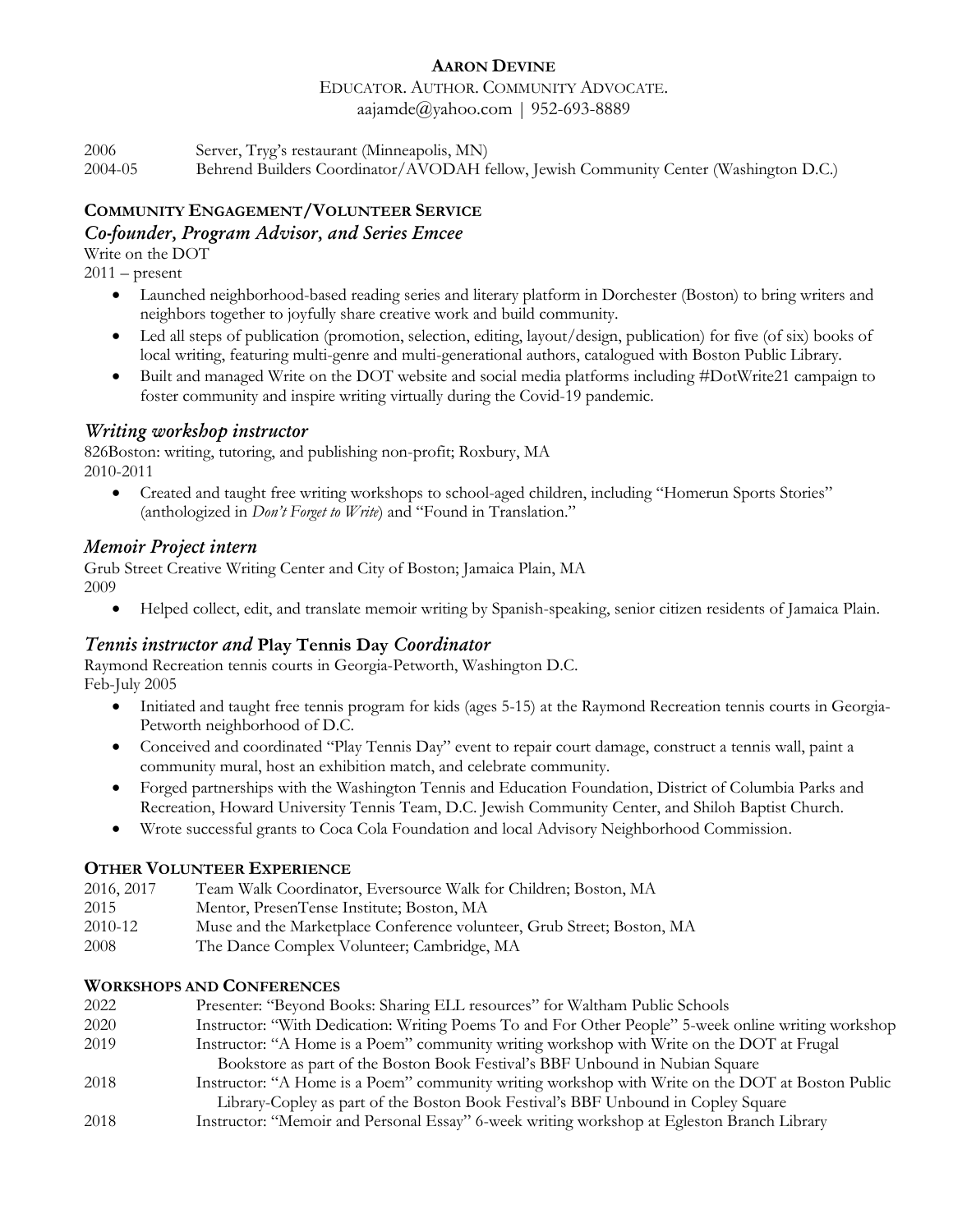#### EDUCATOR. AUTHOR. COMMUNITY ADVOCATE. aajamde $@$ yahoo.com | 952-693-8889

2006 Server, Tryg's restaurant (Minneapolis, MN) 2004-05 Behrend Builders Coordinator/AVODAH fellow, Jewish Community Center (Washington D.C.)

# **COMMUNITY ENGAGEMENT/VOLUNTEER SERVICE**

# *Co-founder, Program Advisor, and Series Emcee*

Write on the DOT

 $2011 -$ present

- Launched neighborhood-based reading series and literary platform in Dorchester (Boston) to bring writers and neighbors together to joyfully share creative work and build community.
- Led all steps of publication (promotion, selection, editing, layout/design, publication) for five (of six) books of local writing, featuring multi-genre and multi-generational authors, catalogued with Boston Public Library.
- Built and managed Write on the DOT website and social media platforms including #DotWrite21 campaign to foster community and inspire writing virtually during the Covid-19 pandemic.

# *Writing workshop instructor*

826Boston: writing, tutoring, and publishing non-profit; Roxbury, MA 2010-2011

 Created and taught free writing workshops to school-aged children, including "Homerun Sports Stories" (anthologized in *Don't Forget to Write*) and "Found in Translation."

# *Memoir Project intern*

Grub Street Creative Writing Center and City of Boston; Jamaica Plain, MA 2009

Helped collect, edit, and translate memoir writing by Spanish-speaking, senior citizen residents of Jamaica Plain.

# *Tennis instructor and* **Play Tennis Day** *Coordinator*

Raymond Recreation tennis courts in Georgia-Petworth, Washington D.C. Feb-July 2005

- Initiated and taught free tennis program for kids (ages 5-15) at the Raymond Recreation tennis courts in Georgia-Petworth neighborhood of D.C.
- Conceived and coordinated "Play Tennis Day" event to repair court damage, construct a tennis wall, paint a community mural, host an exhibition match, and celebrate community.
- Forged partnerships with the Washington Tennis and Education Foundation, District of Columbia Parks and Recreation, Howard University Tennis Team, D.C. Jewish Community Center, and Shiloh Baptist Church.
- Wrote successful grants to Coca Cola Foundation and local Advisory Neighborhood Commission.

# **OTHER VOLUNTEER EXPERIENCE**

| 2016, 2017 | Team Walk Coordinator, Eversource Walk for Children; Boston, MA        |
|------------|------------------------------------------------------------------------|
| 2015       | Mentor, PresenTense Institute; Boston, MA                              |
| 2010-12    | Muse and the Marketplace Conference volunteer, Grub Street; Boston, MA |
| 2008       | The Dance Complex Volunteer; Cambridge, MA                             |

### **WORKSHOPS AND CONFERENCES**

| 2022 | Presenter: "Beyond Books: Sharing ELL resources" for Waltham Public Schools                         |
|------|-----------------------------------------------------------------------------------------------------|
| 2020 | Instructor: "With Dedication: Writing Poems To and For Other People" 5-week online writing workshop |
| 2019 | Instructor: "A Home is a Poem" community writing workshop with Write on the DOT at Frugal           |
|      | Bookstore as part of the Boston Book Festival's BBF Unbound in Nubian Square                        |
| 2018 | Instructor: "A Home is a Poem" community writing workshop with Write on the DOT at Boston Public    |
|      | Library-Copley as part of the Boston Book Festival's BBF Unbound in Copley Square                   |

2018 Instructor: "Memoir and Personal Essay" 6-week writing workshop at Egleston Branch Library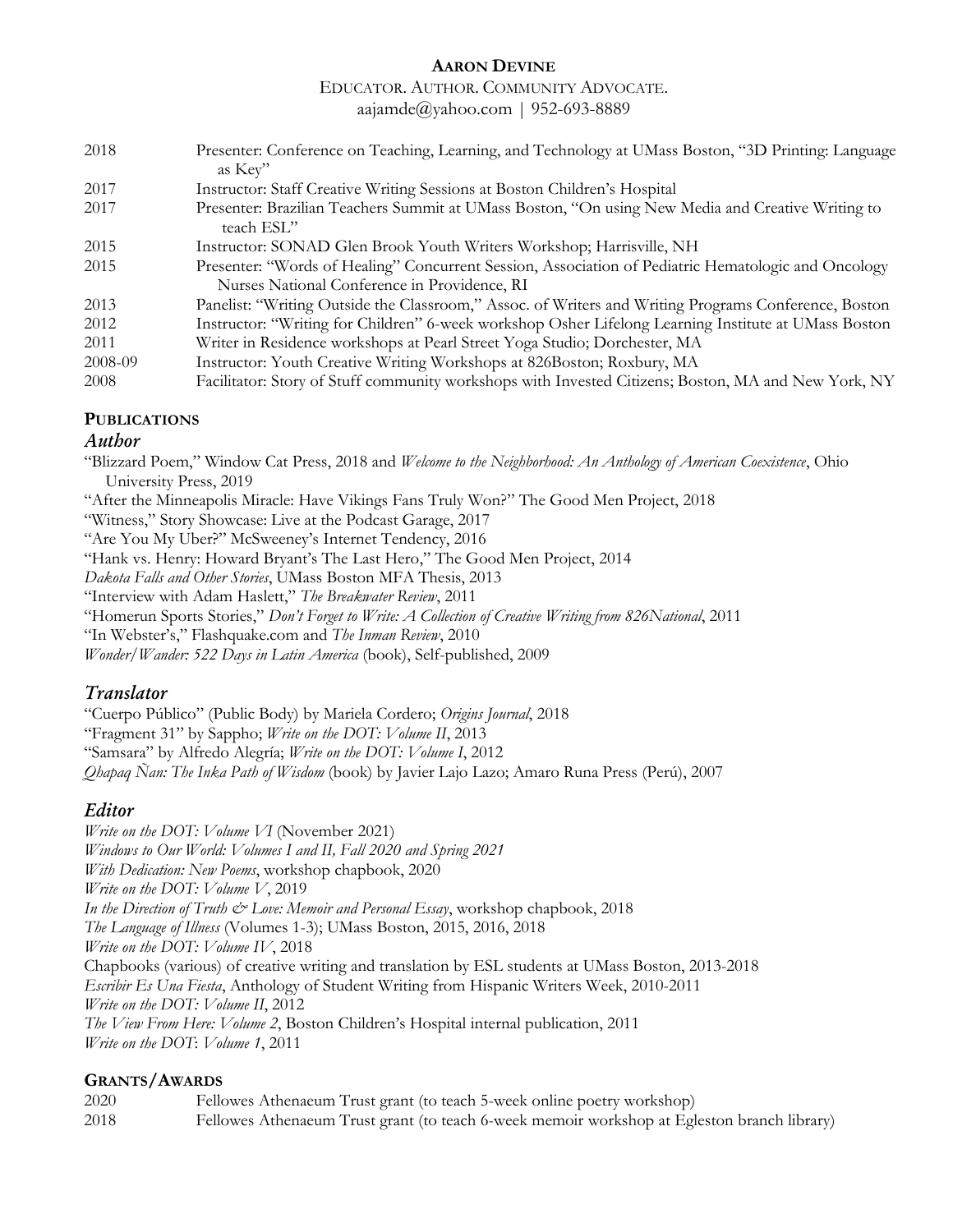#### EDUCATOR. AUTHOR. COMMUNITY ADVOCATE.

aajamde@yahoo.com | 952-693-8889

| 2018    | Presenter: Conference on Teaching, Learning, and Technology at UMass Boston, "3D Printing: Language             |
|---------|-----------------------------------------------------------------------------------------------------------------|
|         | as Key"                                                                                                         |
| 2017    | Instructor: Staff Creative Writing Sessions at Boston Children's Hospital                                       |
| 2017    | Presenter: Brazilian Teachers Summit at UMass Boston, "On using New Media and Creative Writing to<br>teach ESL" |
| 2015    | Instructor: SONAD Glen Brook Youth Writers Workshop; Harrisville, NH                                            |
| 2015    | Presenter: "Words of Healing" Concurrent Session, Association of Pediatric Hematologic and Oncology             |
|         | Nurses National Conference in Providence, RI                                                                    |
| 2013    | Panelist: "Writing Outside the Classroom," Assoc. of Writers and Writing Programs Conference, Boston            |
| 2012    | Instructor: "Writing for Children" 6-week workshop Osher Lifelong Learning Institute at UMass Boston            |
| 2011    | Writer in Residence workshops at Pearl Street Yoga Studio; Dorchester, MA                                       |
| 2008-09 | Instructor: Youth Creative Writing Workshops at 826Boston; Roxbury, MA                                          |
| 2008    | Facilitator: Story of Stuff community workshops with Invested Citizens; Boston, MA and New York, NY             |

#### **PUBLICATIONS**

#### *Author*

"Blizzard Poem," Window Cat Press, 2018 and *Welcome to the Neighborhood: An Anthology of American Coexistence*, Ohio University Press, 2019

"After the Minneapolis Miracle: Have Vikings Fans Truly Won?" The Good Men Project, 2018

"Witness," Story Showcase: Live at the Podcast Garage, 2017

"Are You My Uber?" McSweeney's Internet Tendency, 2016

"Hank vs. Henry: Howard Bryant's The Last Hero," The Good Men Project, 2014

*Dakota Falls and Other Stories*, UMass Boston MFA Thesis, 2013

"Interview with Adam Haslett," *The Breakwater Review*, 2011

"Homerun Sports Stories," *Don't Forget to Write: A Collection of Creative Writing from 826National*, 2011

"In Webster's," Flashquake.com and *The Inman Review*, 2010

*Wonder/Wander: 522 Days in Latin America* (book), Self-published, 2009

### *Translator*

"Cuerpo Público" (Public Body) by Mariela Cordero; *Origins Journal*, 2018 "Fragment 31" by Sappho; *Write on the DOT: Volume II*, 2013 "Samsara" by Alfredo Alegría; *Write on the DOT: Volume I*, 2012 *Qhapaq Ñan: The Inka Path of Wisdom* (book) by Javier Lajo Lazo; Amaro Runa Press (Perú), 2007

# *Editor*

*Write on the DOT: Volume VI* (November 2021) *Windows to Our World: Volumes I and II, Fall 2020 and Spring 2021 With Dedication: New Poems*, workshop chapbook, 2020 *Write on the DOT: Volume V*, 2019 *In the Direction of Truth*  $\mathcal{Q}$  *Love: Memoir and Personal Essay*, workshop chapbook, 2018 *The Language of Illness* (Volumes 1-3); UMass Boston, 2015, 2016, 2018 *Write on the DOT: Volume IV*, 2018 Chapbooks (various) of creative writing and translation by ESL students at UMass Boston, 2013-2018 *Escribir Es Una Fiesta*, Anthology of Student Writing from Hispanic Writers Week, 2010-2011 *Write on the DOT: Volume II*, 2012 *The View From Here: Volume 2*, Boston Children's Hospital internal publication, 2011 *Write on the DOT*: *Volume 1*, 2011

### **GRANTS/AWARDS**

2020 Fellowes Athenaeum Trust grant (to teach 5-week online poetry workshop) 2018 Fellowes Athenaeum Trust grant (to teach 6-week memoir workshop at Egleston branch library)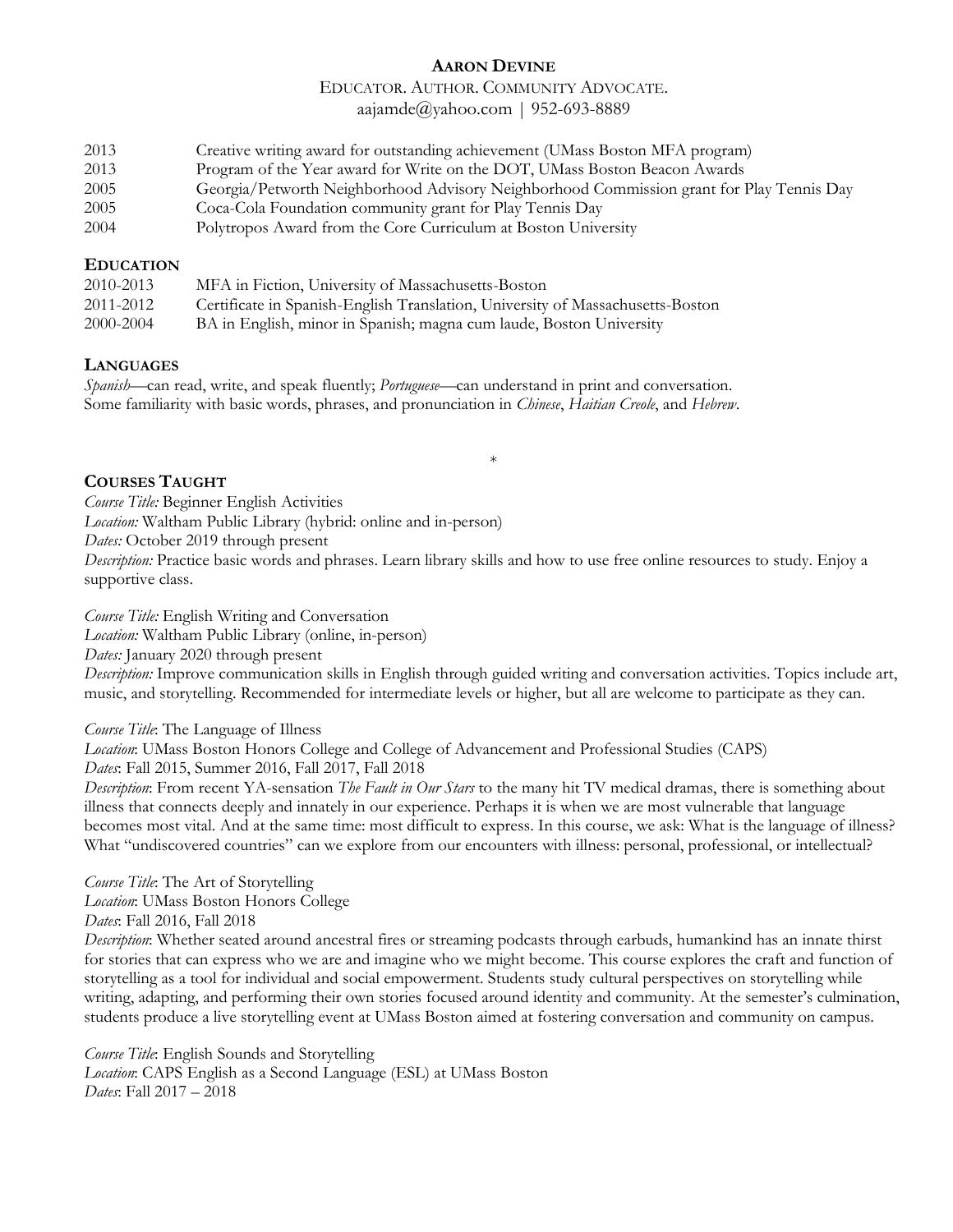# EDUCATOR. AUTHOR. COMMUNITY ADVOCATE.

aajamde@yahoo.com | 952-693-8889

| 2013                 | Creative writing award for outstanding achievement (UMass Boston MFA program) |  |                                                  |  |                                           |  |  |  |
|----------------------|-------------------------------------------------------------------------------|--|--------------------------------------------------|--|-------------------------------------------|--|--|--|
| $\sim$ $\sim$ $\sim$ |                                                                               |  | $\sim$ $\sim$ $\sim$ $\sim$ $\sim$ $\sim$ $\sim$ |  | $\sim$ $\sim$ $\sim$ $\sim$ $\sim$ $\sim$ |  |  |  |

- 2013 Program of the Year award for Write on the DOT, UMass Boston Beacon Awards
- 2005 Georgia/Petworth Neighborhood Advisory Neighborhood Commission grant for Play Tennis Day
- 2005 Coca-Cola Foundation community grant for Play Tennis Day
- 2004 Polytropos Award from the Core Curriculum at Boston University

#### **EDUCATION**

| 2010-2013 | MFA in Fiction, University of Massachusetts-Boston                             |
|-----------|--------------------------------------------------------------------------------|
| 2011-2012 | Certificate in Spanish-English Translation, University of Massachusetts-Boston |
| 2000-2004 | BA in English, minor in Spanish; magna cum laude, Boston University            |

#### **LANGUAGES**

*Spanish*—can read, write, and speak fluently; *Portuguese*—can understand in print and conversation. Some familiarity with basic words, phrases, and pronunciation in *Chinese*, *Haitian Creole*, and *Hebrew*.

### **COURSES TAUGHT**

*Course Title:* Beginner English Activities *Location:* Waltham Public Library (hybrid: online and in-person) *Dates:* October 2019 through present *Description:* Practice basic words and phrases. Learn library skills and how to use free online resources to study. Enjoy a supportive class.

\*

*Course Title:* English Writing and Conversation *Location:* Waltham Public Library (online, in-person) *Dates:* January 2020 through present *Description:* Improve communication skills in English through guided writing and conversation activities. Topics include art, music, and storytelling. Recommended for intermediate levels or higher, but all are welcome to participate as they can.

*Course Title*: The Language of Illness

*Location*: UMass Boston Honors College and College of Advancement and Professional Studies (CAPS) *Dates*: Fall 2015, Summer 2016, Fall 2017, Fall 2018

*Description*: From recent YA-sensation *The Fault in Our Stars* to the many hit TV medical dramas, there is something about illness that connects deeply and innately in our experience. Perhaps it is when we are most vulnerable that language becomes most vital. And at the same time: most difficult to express. In this course, we ask: What is the language of illness? What "undiscovered countries" can we explore from our encounters with illness: personal, professional, or intellectual?

*Course Title*: The Art of Storytelling *Location*: UMass Boston Honors College

*Dates*: Fall 2016, Fall 2018

*Description*: Whether seated around ancestral fires or streaming podcasts through earbuds, humankind has an innate thirst for stories that can express who we are and imagine who we might become. This course explores the craft and function of storytelling as a tool for individual and social empowerment. Students study cultural perspectives on storytelling while writing, adapting, and performing their own stories focused around identity and community. At the semester's culmination, students produce a live storytelling event at UMass Boston aimed at fostering conversation and community on campus.

*Course Title*: English Sounds and Storytelling *Location*: CAPS English as a Second Language (ESL) at UMass Boston *Dates*: Fall 2017 – 2018